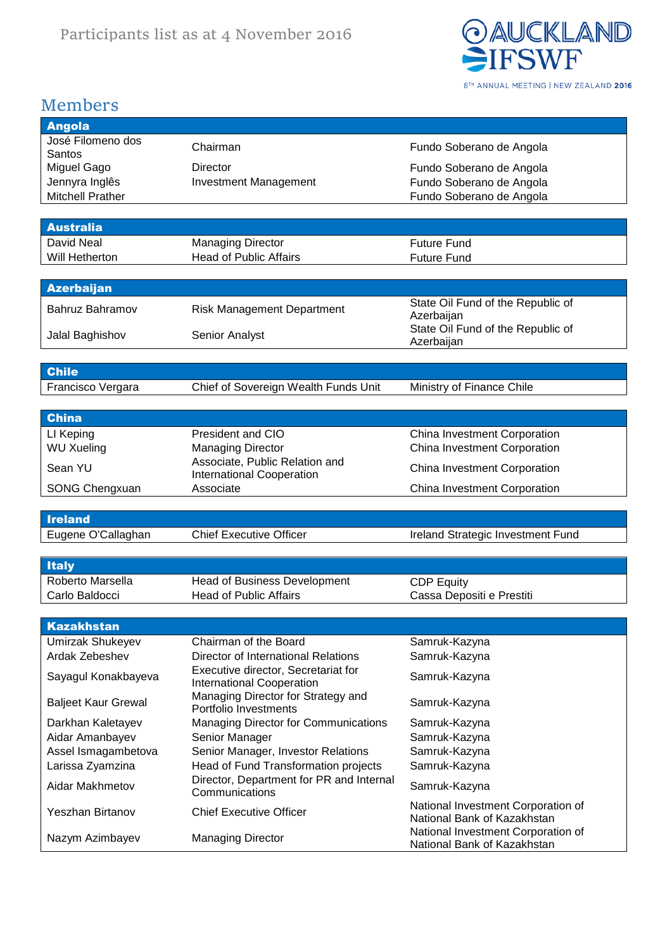

#### Members

| <b>Angola</b>              |                                                            |                                                                   |
|----------------------------|------------------------------------------------------------|-------------------------------------------------------------------|
|                            |                                                            |                                                                   |
| José Filomeno dos          | Chairman                                                   | Fundo Soberano de Angola                                          |
| Santos                     |                                                            |                                                                   |
| Miguel Gago                | <b>Director</b>                                            | Fundo Soberano de Angola                                          |
| Jennyra Inglês             | <b>Investment Management</b>                               | Fundo Soberano de Angola                                          |
| <b>Mitchell Prather</b>    |                                                            | Fundo Soberano de Angola                                          |
|                            |                                                            |                                                                   |
| <b>Australia</b>           |                                                            |                                                                   |
| David Neal                 | <b>Managing Director</b>                                   | <b>Future Fund</b>                                                |
| Will Hetherton             | <b>Head of Public Affairs</b>                              | <b>Future Fund</b>                                                |
|                            |                                                            |                                                                   |
|                            |                                                            |                                                                   |
| <b>Azerbaijan</b>          |                                                            |                                                                   |
| Bahruz Bahramov            | <b>Risk Management Department</b>                          | State Oil Fund of the Republic of                                 |
|                            |                                                            | Azerbaijan                                                        |
| Jalal Baghishov            | Senior Analyst                                             | State Oil Fund of the Republic of                                 |
|                            |                                                            | Azerbaijan                                                        |
|                            |                                                            |                                                                   |
| <b>Chile</b>               |                                                            |                                                                   |
| Francisco Vergara          | Chief of Sovereign Wealth Funds Unit                       | Ministry of Finance Chile                                         |
|                            |                                                            |                                                                   |
|                            |                                                            |                                                                   |
| <b>China</b>               |                                                            |                                                                   |
| LI Keping                  | President and CIO                                          | China Investment Corporation                                      |
| <b>WU Xueling</b>          | <b>Managing Director</b>                                   | China Investment Corporation                                      |
| Sean YU                    | Associate, Public Relation and                             |                                                                   |
|                            | <b>International Cooperation</b>                           | China Investment Corporation                                      |
| <b>SONG Chengxuan</b>      | Associate                                                  | China Investment Corporation                                      |
|                            |                                                            |                                                                   |
| <b>Ireland</b>             |                                                            |                                                                   |
| Eugene O'Callaghan         | <b>Chief Executive Officer</b>                             | Ireland Strategic Investment Fund                                 |
|                            |                                                            |                                                                   |
|                            |                                                            |                                                                   |
|                            |                                                            |                                                                   |
| <b>Italy</b>               |                                                            |                                                                   |
| Roberto Marsella           | <b>Head of Business Development</b>                        | <b>CDP Equity</b>                                                 |
| Carlo Baldocci             | <b>Head of Public Affairs</b>                              |                                                                   |
|                            |                                                            | Cassa Depositi e Prestiti                                         |
|                            |                                                            |                                                                   |
| <b>Kazakhstan</b>          |                                                            |                                                                   |
| Umirzak Shukeyev           | Chairman of the Board                                      | Samruk-Kazyna                                                     |
| Ardak Zebeshev             | <b>Director of International Relations</b>                 | Samruk-Kazyna                                                     |
|                            | Executive director, Secretariat for                        |                                                                   |
| Sayagul Konakbayeva        | <b>International Cooperation</b>                           | Samruk-Kazyna                                                     |
|                            | Managing Director for Strategy and                         |                                                                   |
| <b>Baljeet Kaur Grewal</b> | Portfolio Investments                                      | Samruk-Kazyna                                                     |
| Darkhan Kaletayev          | <b>Managing Director for Communications</b>                | Samruk-Kazyna                                                     |
| Aidar Amanbayev            | Senior Manager                                             | Samruk-Kazyna                                                     |
| Assel Ismagambetova        | Senior Manager, Investor Relations                         | Samruk-Kazyna                                                     |
|                            |                                                            | Samruk-Kazyna                                                     |
| Larissa Zyamzina           | Head of Fund Transformation projects                       |                                                                   |
| Aidar Makhmetov            | Director, Department for PR and Internal<br>Communications | Samruk-Kazyna                                                     |
|                            |                                                            |                                                                   |
| Yeszhan Birtanov           | <b>Chief Executive Officer</b>                             | National Investment Corporation of<br>National Bank of Kazakhstan |
| Nazym Azimbayev            | <b>Managing Director</b>                                   | National Investment Corporation of                                |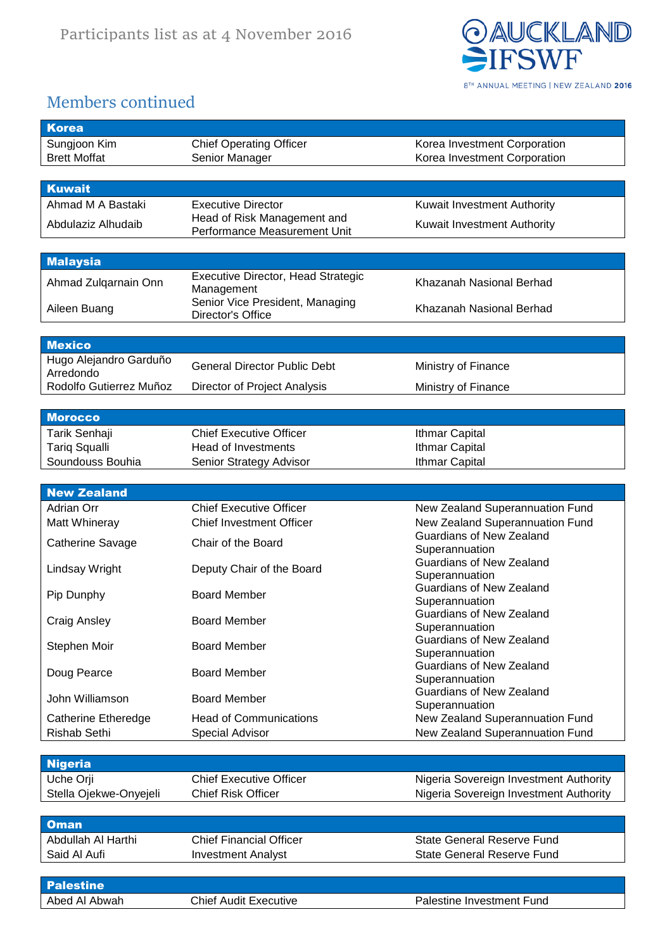

### Members continued

| <b>Korea</b>                          |                                                             |                                                                                  |
|---------------------------------------|-------------------------------------------------------------|----------------------------------------------------------------------------------|
| Sungjoon Kim                          | <b>Chief Operating Officer</b>                              | Korea Investment Corporation                                                     |
| <b>Brett Moffat</b>                   | Senior Manager                                              | Korea Investment Corporation                                                     |
|                                       |                                                             |                                                                                  |
| <b>Kuwait</b>                         |                                                             |                                                                                  |
| Ahmad M A Bastaki                     | <b>Executive Director</b>                                   | Kuwait Investment Authority                                                      |
| Abdulaziz Alhudaib                    | Head of Risk Management and<br>Performance Measurement Unit | Kuwait Investment Authority                                                      |
|                                       |                                                             |                                                                                  |
| <b>Malaysia</b>                       |                                                             |                                                                                  |
| Ahmad Zulqarnain Onn                  | <b>Executive Director, Head Strategic</b>                   | Khazanah Nasional Berhad                                                         |
|                                       | Management                                                  |                                                                                  |
| Aileen Buang                          | Senior Vice President, Managing<br>Director's Office        | Khazanah Nasional Berhad                                                         |
|                                       |                                                             |                                                                                  |
| <b>Mexico</b>                         |                                                             |                                                                                  |
| Hugo Alejandro Garduño                | <b>General Director Public Debt</b>                         |                                                                                  |
| Arredondo                             |                                                             | Ministry of Finance                                                              |
| Rodolfo Gutierrez Muñoz               | Director of Project Analysis                                | Ministry of Finance                                                              |
|                                       |                                                             |                                                                                  |
| <b>Morocco</b>                        | <b>Chief Executive Officer</b>                              |                                                                                  |
| Tarik Senhaji<br><b>Tariq Squalli</b> | Head of Investments                                         | <b>Ithmar Capital</b><br><b>Ithmar Capital</b>                                   |
| Soundouss Bouhia                      | Senior Strategy Advisor                                     | <b>Ithmar Capital</b>                                                            |
|                                       |                                                             |                                                                                  |
| <b>New Zealand</b>                    |                                                             |                                                                                  |
| <b>Adrian Orr</b>                     | <b>Chief Executive Officer</b>                              | New Zealand Superannuation Fund                                                  |
| Matt Whineray                         | <b>Chief Investment Officer</b>                             | New Zealand Superannuation Fund                                                  |
| Catherine Savage                      | Chair of the Board                                          | <b>Guardians of New Zealand</b>                                                  |
|                                       |                                                             | Superannuation<br><b>Guardians of New Zealand</b>                                |
| Lindsay Wright                        | Deputy Chair of the Board                                   | Superannuation                                                                   |
| Pip Dunphy                            | <b>Board Member</b>                                         | <b>Guardians of New Zealand</b>                                                  |
|                                       |                                                             | Superannuation                                                                   |
| <b>Craig Ansley</b>                   | <b>Board Member</b>                                         | <b>Guardians of New Zealand</b><br>Superannuation                                |
|                                       |                                                             | <b>Guardians of New Zealand</b>                                                  |
| Stephen Moir                          | <b>Board Member</b>                                         | Superannuation                                                                   |
| Doug Pearce                           | <b>Board Member</b>                                         | <b>Guardians of New Zealand</b>                                                  |
|                                       |                                                             | Superannuation<br><b>Guardians of New Zealand</b>                                |
| John Williamson                       | <b>Board Member</b>                                         | Superannuation                                                                   |
| Catherine Etheredge                   | <b>Head of Communications</b>                               | New Zealand Superannuation Fund                                                  |
| Rishab Sethi                          | Special Advisor                                             | New Zealand Superannuation Fund                                                  |
|                                       |                                                             |                                                                                  |
| <b>Nigeria</b>                        |                                                             |                                                                                  |
| Uche Orji<br>Stella Ojekwe-Onyejeli   | <b>Chief Executive Officer</b><br><b>Chief Risk Officer</b> | Nigeria Sovereign Investment Authority<br>Nigeria Sovereign Investment Authority |
|                                       |                                                             |                                                                                  |
| <b>Oman</b>                           |                                                             |                                                                                  |
| Abdullah Al Harthi                    | <b>Chief Financial Officer</b>                              | <b>State General Reserve Fund</b>                                                |
| Said Al Aufi                          | <b>Investment Analyst</b>                                   | <b>State General Reserve Fund</b>                                                |
|                                       |                                                             |                                                                                  |
| <b>Palestine</b>                      |                                                             |                                                                                  |
| Abed Al Abwah                         | <b>Chief Audit Executive</b>                                | Palestine Investment Fund                                                        |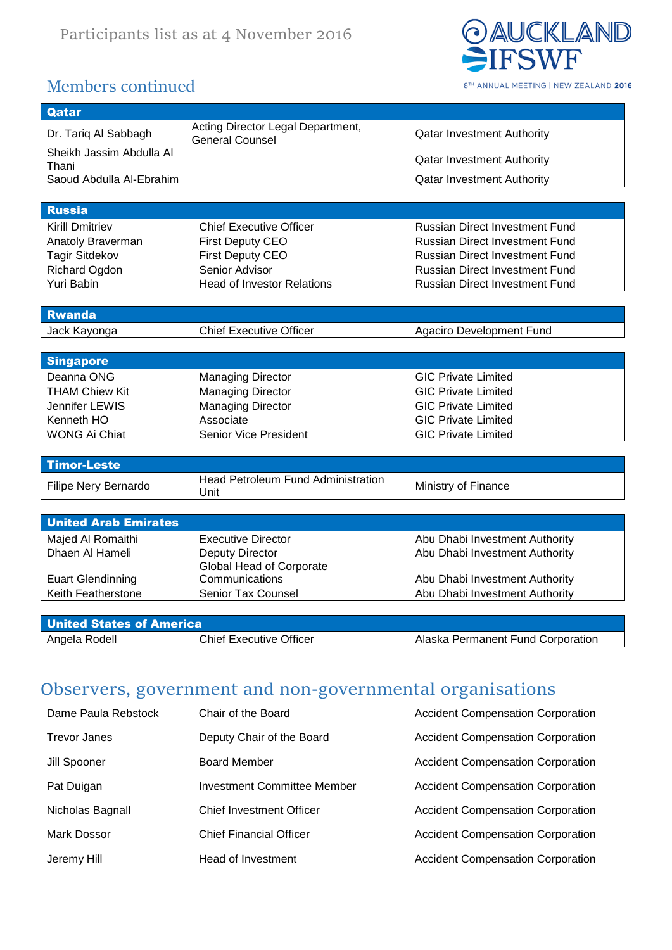

## Members continued

| Qatar                             |                                                             |                                       |
|-----------------------------------|-------------------------------------------------------------|---------------------------------------|
| Dr. Tariq Al Sabbagh              | Acting Director Legal Department,<br><b>General Counsel</b> | <b>Qatar Investment Authority</b>     |
| Sheikh Jassim Abdulla Al<br>Thani |                                                             | <b>Qatar Investment Authority</b>     |
| Saoud Abdulla Al-Ebrahim          |                                                             | <b>Qatar Investment Authority</b>     |
|                                   |                                                             |                                       |
| <b>Russia</b>                     |                                                             |                                       |
| <b>Kirill Dmitriev</b>            | <b>Chief Executive Officer</b>                              | <b>Russian Direct Investment Fund</b> |
| Anatoly Braverman                 | <b>First Deputy CEO</b>                                     | <b>Russian Direct Investment Fund</b> |
| <b>Tagir Sitdekov</b>             | <b>First Deputy CEO</b>                                     | <b>Russian Direct Investment Fund</b> |
| Richard Ogdon                     | Senior Advisor                                              | <b>Russian Direct Investment Fund</b> |
| Yuri Babin                        | <b>Head of Investor Relations</b>                           | <b>Russian Direct Investment Fund</b> |
|                                   |                                                             |                                       |
| <b>Rwanda</b>                     |                                                             |                                       |
| Jack Kayonga                      | <b>Chief Executive Officer</b>                              | Agaciro Development Fund              |
|                                   |                                                             |                                       |
| <b>Singapore</b>                  |                                                             |                                       |
| Deanna ONG                        | <b>Managing Director</b>                                    | <b>GIC Private Limited</b>            |
| <b>THAM Chiew Kit</b>             | <b>Managing Director</b>                                    | <b>GIC Private Limited</b>            |
| Jennifer LEWIS                    | <b>Managing Director</b>                                    | <b>GIC Private Limited</b>            |
| Kenneth HO                        | Associate                                                   | <b>GIC Private Limited</b>            |
| <b>WONG Ai Chiat</b>              | Senior Vice President                                       | <b>GIC Private Limited</b>            |
|                                   |                                                             |                                       |
| <b>Timor-Leste</b>                |                                                             |                                       |
| Filipe Nery Bernardo              | <b>Head Petroleum Fund Administration</b><br>Unit           | Ministry of Finance                   |
|                                   |                                                             |                                       |
| <b>United Arab Emirates</b>       |                                                             |                                       |
| Majed Al Romaithi                 | <b>Executive Director</b>                                   | Abu Dhabi Investment Authority        |
| Dhaen Al Hameli                   | <b>Deputy Director</b>                                      | Abu Dhabi Investment Authority        |
|                                   | Global Head of Corporate                                    |                                       |
| <b>Euart Glendinning</b>          | Communications                                              | Abu Dhabi Investment Authority        |
| Keith Featherstone                | Senior Tax Counsel                                          | Abu Dhabi Investment Authority        |
|                                   |                                                             |                                       |
| <b>United States of America</b>   |                                                             |                                       |
| Angela Rodell                     | <b>Chief Executive Officer</b>                              | Alaska Permanent Fund Corporation     |

# Observers, government and non-governmental organisations

| Dame Paula Rebstock | Chair of the Board              | <b>Accident Compensation Corporation</b> |
|---------------------|---------------------------------|------------------------------------------|
| <b>Trevor Janes</b> | Deputy Chair of the Board       | <b>Accident Compensation Corporation</b> |
| Jill Spooner        | <b>Board Member</b>             | <b>Accident Compensation Corporation</b> |
| Pat Duigan          | Investment Committee Member     | <b>Accident Compensation Corporation</b> |
| Nicholas Bagnall    | <b>Chief Investment Officer</b> | <b>Accident Compensation Corporation</b> |
| Mark Dossor         | <b>Chief Financial Officer</b>  | <b>Accident Compensation Corporation</b> |
| Jeremy Hill         | Head of Investment              | <b>Accident Compensation Corporation</b> |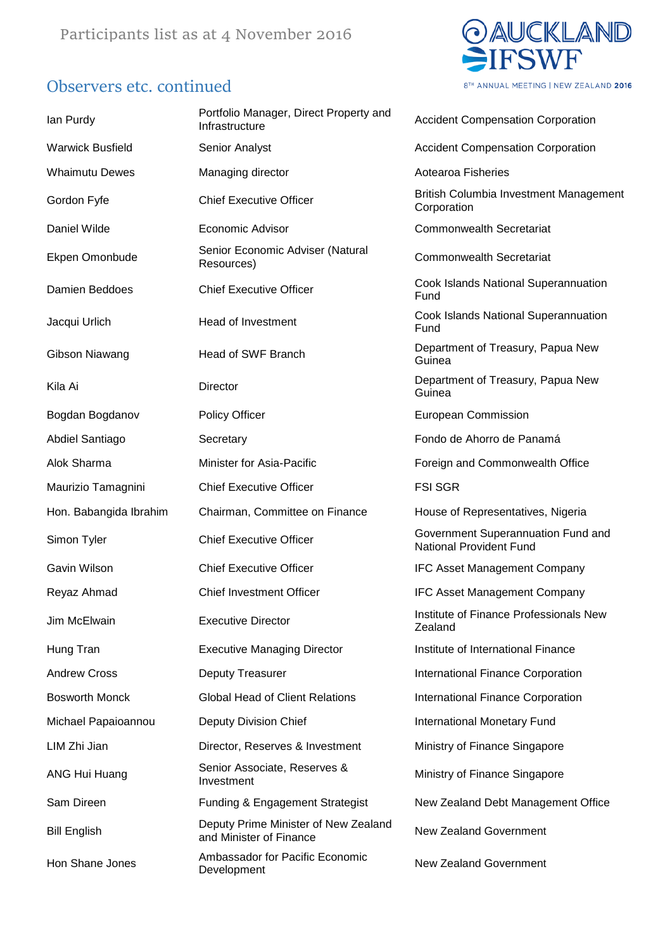#### Observers etc. continued



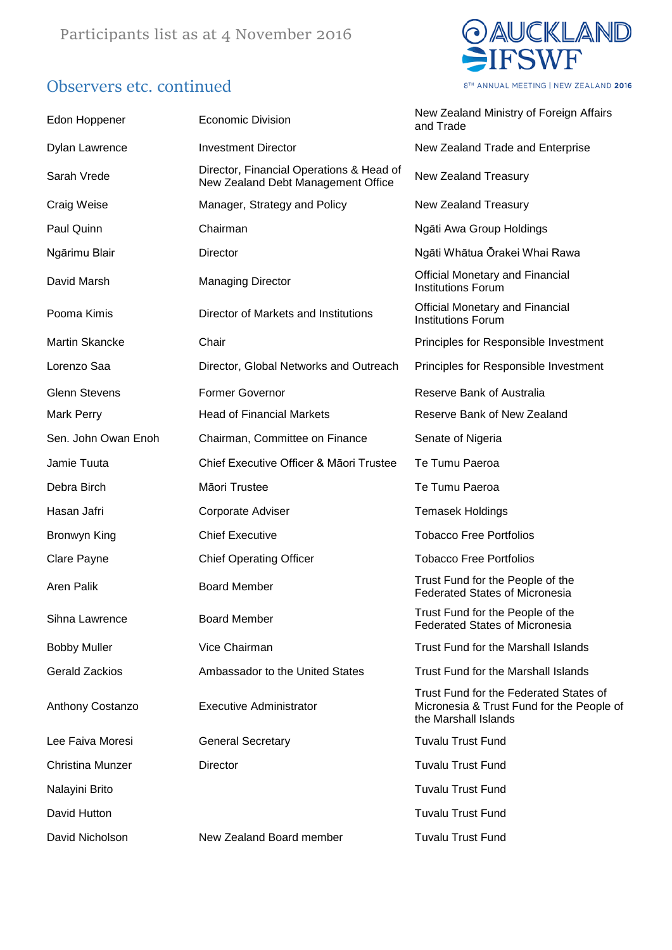## Observers etc. continued



8TH ANNUAL MEETING | NEW ZEALAND 2016

| Edon Hoppener         | <b>Economic Division</b>                                                       | New Zealand Ministry of Foreign Affairs<br>and Trade                                                        |
|-----------------------|--------------------------------------------------------------------------------|-------------------------------------------------------------------------------------------------------------|
| <b>Dylan Lawrence</b> | <b>Investment Director</b>                                                     | New Zealand Trade and Enterprise                                                                            |
| Sarah Vrede           | Director, Financial Operations & Head of<br>New Zealand Debt Management Office | New Zealand Treasury                                                                                        |
| Craig Weise           | Manager, Strategy and Policy                                                   | New Zealand Treasury                                                                                        |
| Paul Quinn            | Chairman                                                                       | Ngāti Awa Group Holdings                                                                                    |
| Ngārimu Blair         | Director                                                                       | Ngāti Whātua Ōrakei Whai Rawa                                                                               |
| David Marsh           | <b>Managing Director</b>                                                       | <b>Official Monetary and Financial</b><br><b>Institutions Forum</b>                                         |
| Pooma Kimis           | Director of Markets and Institutions                                           | <b>Official Monetary and Financial</b><br><b>Institutions Forum</b>                                         |
| Martin Skancke        | Chair                                                                          | Principles for Responsible Investment                                                                       |
| Lorenzo Saa           | Director, Global Networks and Outreach                                         | Principles for Responsible Investment                                                                       |
| <b>Glenn Stevens</b>  | Former Governor                                                                | Reserve Bank of Australia                                                                                   |
| Mark Perry            | <b>Head of Financial Markets</b>                                               | Reserve Bank of New Zealand                                                                                 |
| Sen. John Owan Enoh   | Chairman, Committee on Finance                                                 | Senate of Nigeria                                                                                           |
| Jamie Tuuta           | Chief Executive Officer & Māori Trustee                                        | Te Tumu Paeroa                                                                                              |
| Debra Birch           | Māori Trustee                                                                  | Te Tumu Paeroa                                                                                              |
| Hasan Jafri           | Corporate Adviser                                                              | <b>Temasek Holdings</b>                                                                                     |
| Bronwyn King          | <b>Chief Executive</b>                                                         | <b>Tobacco Free Portfolios</b>                                                                              |
| Clare Payne           | <b>Chief Operating Officer</b>                                                 | <b>Tobacco Free Portfolios</b>                                                                              |
| <b>Aren Palik</b>     | <b>Board Member</b>                                                            | Trust Fund for the People of the<br><b>Federated States of Micronesia</b>                                   |
| Sihna Lawrence        | <b>Board Member</b>                                                            | Trust Fund for the People of the<br><b>Federated States of Micronesia</b>                                   |
| <b>Bobby Muller</b>   | Vice Chairman                                                                  | <b>Trust Fund for the Marshall Islands</b>                                                                  |
| <b>Gerald Zackios</b> | Ambassador to the United States                                                | Trust Fund for the Marshall Islands                                                                         |
| Anthony Costanzo      | <b>Executive Administrator</b>                                                 | Trust Fund for the Federated States of<br>Micronesia & Trust Fund for the People of<br>the Marshall Islands |
| Lee Faiva Moresi      | <b>General Secretary</b>                                                       | <b>Tuvalu Trust Fund</b>                                                                                    |
| Christina Munzer      | Director                                                                       | <b>Tuvalu Trust Fund</b>                                                                                    |
| Nalayini Brito        |                                                                                | <b>Tuvalu Trust Fund</b>                                                                                    |
| David Hutton          |                                                                                | <b>Tuvalu Trust Fund</b>                                                                                    |
| David Nicholson       | New Zealand Board member                                                       | <b>Tuvalu Trust Fund</b>                                                                                    |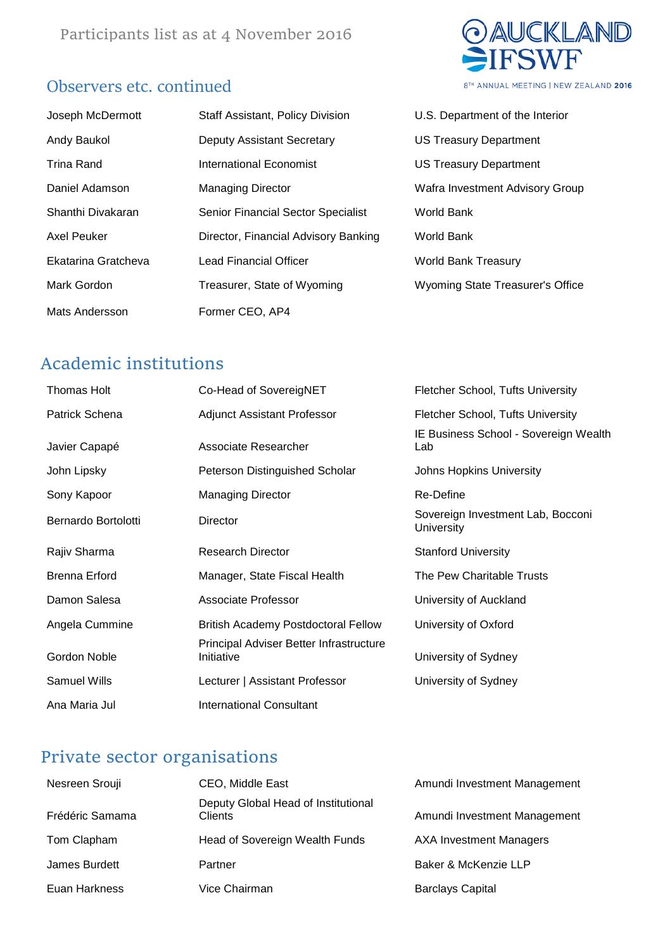### Observers etc. continued



| Joseph McDermott    | <b>Staff Assistant, Policy Division</b>   | U.S. Department of the Interior         |
|---------------------|-------------------------------------------|-----------------------------------------|
| Andy Baukol         | <b>Deputy Assistant Secretary</b>         | <b>US Treasury Department</b>           |
| Trina Rand          | <b>International Economist</b>            | <b>US Treasury Department</b>           |
| Daniel Adamson      | <b>Managing Director</b>                  | Wafra Investment Advisory Group         |
| Shanthi Divakaran   | <b>Senior Financial Sector Specialist</b> | World Bank                              |
| Axel Peuker         | Director, Financial Advisory Banking      | World Bank                              |
| Ekatarina Gratcheva | Lead Financial Officer                    | <b>World Bank Treasury</b>              |
| Mark Gordon         | Treasurer, State of Wyoming               | <b>Wyoming State Treasurer's Office</b> |
| Mats Andersson      | Former CEO, AP4                           |                                         |

| J.S. Department of the interior         |
|-----------------------------------------|
| JS Treasury Department                  |
| JS Treasury Department                  |
| <b>Nafra Investment Advisory Group</b>  |
| Vorld Bank                              |
| Norld Bank                              |
| <b>Norld Bank Treasury</b>              |
| <b>Nyoming State Treasurer's Office</b> |

### Academic institutions

| Thomas Holt          | Co-Head of SovereigNET                                | <b>Fletcher School, Tufts University</b>               |
|----------------------|-------------------------------------------------------|--------------------------------------------------------|
| Patrick Schena       | <b>Adjunct Assistant Professor</b>                    | Fletcher School, Tufts University                      |
| Javier Capapé        | Associate Researcher                                  | IE Business School - Sovereign Wealth<br>Lab           |
| John Lipsky          | Peterson Distinguished Scholar                        | Johns Hopkins University                               |
| Sony Kapoor          | <b>Managing Director</b>                              | Re-Define                                              |
| Bernardo Bortolotti  | Director                                              | Sovereign Investment Lab, Bocconi<br><b>University</b> |
| Rajiv Sharma         | <b>Research Director</b>                              | <b>Stanford University</b>                             |
| <b>Brenna Erford</b> | Manager, State Fiscal Health                          | The Pew Charitable Trusts                              |
| Damon Salesa         | Associate Professor                                   | University of Auckland                                 |
| Angela Cummine       | <b>British Academy Postdoctoral Fellow</b>            | University of Oxford                                   |
| Gordon Noble         | Principal Adviser Better Infrastructure<br>Initiative | University of Sydney                                   |
| <b>Samuel Wills</b>  | Lecturer   Assistant Professor                        | University of Sydney                                   |
| Ana Maria Jul        | <b>International Consultant</b>                       |                                                        |

## Private sector organisations

| Nesreen Srouji  | CEO, Middle East                               | Amundi Investment Management   |
|-----------------|------------------------------------------------|--------------------------------|
| Frédéric Samama | Deputy Global Head of Institutional<br>Clients | Amundi Investment Management   |
| Tom Clapham     | Head of Sovereign Wealth Funds                 | <b>AXA Investment Managers</b> |
| James Burdett   | Partner                                        | Baker & McKenzie LLP           |
| Euan Harkness   | Vice Chairman                                  | <b>Barclays Capital</b>        |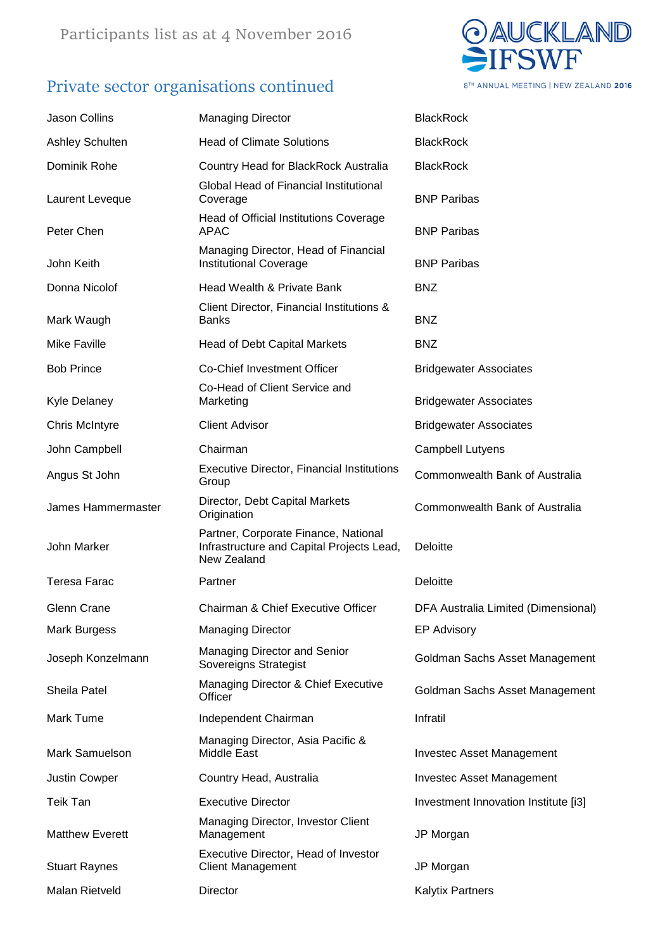# Private sector organisations continued



| <b>Jason Collins</b>   | <b>Managing Director</b>                                                                         | <b>BlackRock</b>                     |
|------------------------|--------------------------------------------------------------------------------------------------|--------------------------------------|
| Ashley Schulten        | <b>Head of Climate Solutions</b>                                                                 | <b>BlackRock</b>                     |
| Dominik Rohe           | Country Head for BlackRock Australia                                                             | <b>BlackRock</b>                     |
| Laurent Leveque        | Global Head of Financial Institutional<br>Coverage                                               | <b>BNP Paribas</b>                   |
| Peter Chen             | Head of Official Institutions Coverage<br><b>APAC</b>                                            | <b>BNP Paribas</b>                   |
| John Keith             | Managing Director, Head of Financial<br><b>Institutional Coverage</b>                            | <b>BNP Paribas</b>                   |
| Donna Nicolof          | Head Wealth & Private Bank                                                                       | <b>BNZ</b>                           |
| Mark Waugh             | Client Director, Financial Institutions &<br><b>Banks</b>                                        | <b>BNZ</b>                           |
| <b>Mike Faville</b>    | <b>Head of Debt Capital Markets</b>                                                              | <b>BNZ</b>                           |
| <b>Bob Prince</b>      | Co-Chief Investment Officer                                                                      | <b>Bridgewater Associates</b>        |
| <b>Kyle Delaney</b>    | Co-Head of Client Service and<br>Marketing                                                       | <b>Bridgewater Associates</b>        |
| <b>Chris McIntyre</b>  | <b>Client Advisor</b>                                                                            | <b>Bridgewater Associates</b>        |
| John Campbell          | Chairman                                                                                         | Campbell Lutyens                     |
| Angus St John          | <b>Executive Director, Financial Institutions</b><br>Group                                       | Commonwealth Bank of Australia       |
| James Hammermaster     | Director, Debt Capital Markets<br>Origination                                                    | Commonwealth Bank of Australia       |
| John Marker            | Partner, Corporate Finance, National<br>Infrastructure and Capital Projects Lead,<br>New Zealand | Deloitte                             |
| <b>Teresa Farac</b>    | Partner                                                                                          | Deloitte                             |
| Glenn Crane            | Chairman & Chief Executive Officer                                                               | DFA Australia Limited (Dimensional)  |
| <b>Mark Burgess</b>    | <b>Managing Director</b>                                                                         | <b>EP Advisory</b>                   |
| Joseph Konzelmann      | Managing Director and Senior<br>Sovereigns Strategist                                            | Goldman Sachs Asset Management       |
| Sheila Patel           | Managing Director & Chief Executive<br>Officer                                                   | Goldman Sachs Asset Management       |
| Mark Tume              | Independent Chairman                                                                             | Infratil                             |
| Mark Samuelson         | Managing Director, Asia Pacific &<br>Middle East                                                 | <b>Investec Asset Management</b>     |
| <b>Justin Cowper</b>   | Country Head, Australia                                                                          | <b>Investec Asset Management</b>     |
| Teik Tan               | <b>Executive Director</b>                                                                        | Investment Innovation Institute [i3] |
| <b>Matthew Everett</b> | Managing Director, Investor Client<br>Management                                                 | JP Morgan                            |
| <b>Stuart Raynes</b>   | Executive Director, Head of Investor<br><b>Client Management</b>                                 | JP Morgan                            |
| Malan Rietveld         | Director                                                                                         | <b>Kalytix Partners</b>              |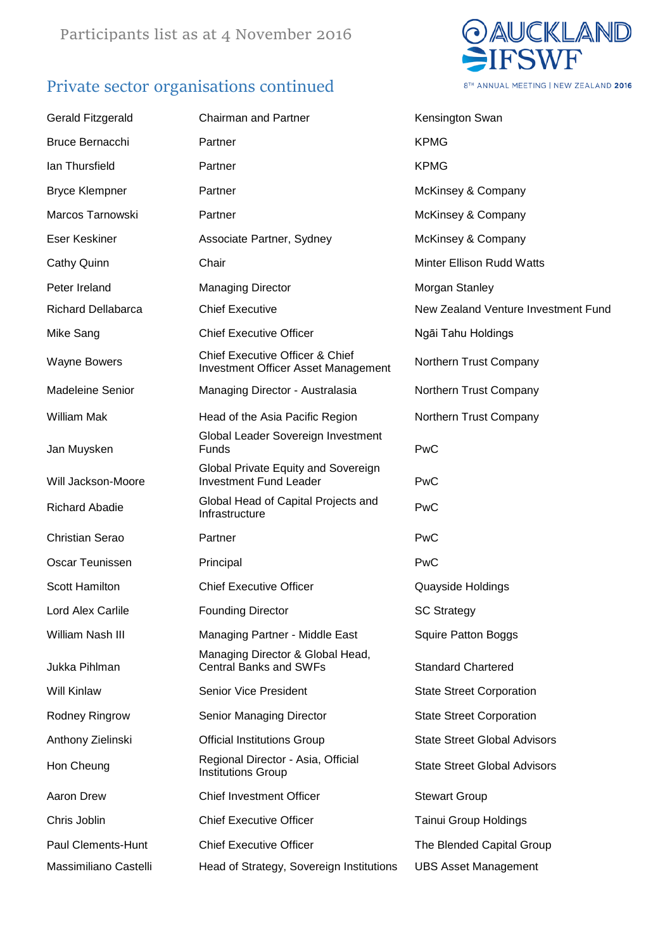# Private sector organisations continued



| <b>Gerald Fitzgerald</b> | <b>Chairman and Partner</b>                                                              | Kensington Swan                     |
|--------------------------|------------------------------------------------------------------------------------------|-------------------------------------|
| <b>Bruce Bernacchi</b>   | Partner                                                                                  | <b>KPMG</b>                         |
| lan Thursfield           | Partner                                                                                  | <b>KPMG</b>                         |
| <b>Bryce Klempner</b>    | Partner                                                                                  | McKinsey & Company                  |
| Marcos Tarnowski         | Partner                                                                                  | McKinsey & Company                  |
| Eser Keskiner            | Associate Partner, Sydney                                                                | McKinsey & Company                  |
| Cathy Quinn              | Chair                                                                                    | <b>Minter Ellison Rudd Watts</b>    |
| Peter Ireland            | <b>Managing Director</b>                                                                 | Morgan Stanley                      |
| Richard Dellabarca       | <b>Chief Executive</b>                                                                   | New Zealand Venture Investment Fund |
| Mike Sang                | <b>Chief Executive Officer</b>                                                           | Ngāi Tahu Holdings                  |
| <b>Wayne Bowers</b>      | <b>Chief Executive Officer &amp; Chief</b><br><b>Investment Officer Asset Management</b> | Northern Trust Company              |
| <b>Madeleine Senior</b>  | Managing Director - Australasia                                                          | Northern Trust Company              |
| <b>William Mak</b>       | Head of the Asia Pacific Region                                                          | Northern Trust Company              |
| Jan Muysken              | Global Leader Sovereign Investment<br><b>Funds</b>                                       | <b>PwC</b>                          |
| Will Jackson-Moore       | Global Private Equity and Sovereign<br><b>Investment Fund Leader</b>                     | PwC                                 |
| <b>Richard Abadie</b>    | Global Head of Capital Projects and<br>Infrastructure                                    | <b>PwC</b>                          |
| <b>Christian Serao</b>   | Partner                                                                                  | <b>PwC</b>                          |
| Oscar Teunissen          | Principal                                                                                | PwC                                 |
| Scott Hamilton           | <b>Chief Executive Officer</b>                                                           | Quayside Holdings                   |
| Lord Alex Carlile        | <b>Founding Director</b>                                                                 | <b>SC Strategy</b>                  |
| William Nash III         | Managing Partner - Middle East                                                           | <b>Squire Patton Boggs</b>          |
| Jukka Pihlman            | Managing Director & Global Head,<br><b>Central Banks and SWFs</b>                        | <b>Standard Chartered</b>           |
| <b>Will Kinlaw</b>       | <b>Senior Vice President</b>                                                             | <b>State Street Corporation</b>     |
| Rodney Ringrow           | Senior Managing Director                                                                 | <b>State Street Corporation</b>     |
| Anthony Zielinski        | <b>Official Institutions Group</b>                                                       | <b>State Street Global Advisors</b> |
| Hon Cheung               | Regional Director - Asia, Official<br><b>Institutions Group</b>                          | <b>State Street Global Advisors</b> |
| Aaron Drew               | <b>Chief Investment Officer</b>                                                          | <b>Stewart Group</b>                |
| Chris Joblin             | <b>Chief Executive Officer</b>                                                           | <b>Tainui Group Holdings</b>        |
| Paul Clements-Hunt       | <b>Chief Executive Officer</b>                                                           | The Blended Capital Group           |
| Massimiliano Castelli    | Head of Strategy, Sovereign Institutions                                                 | <b>UBS Asset Management</b>         |